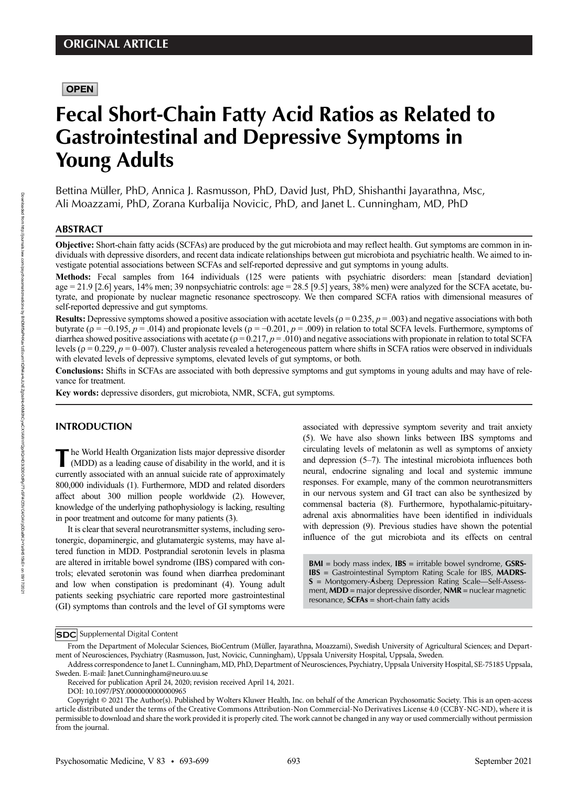# **OPEN**

# Fecal Short-Chain Fatty Acid Ratios as Related to Gastrointestinal and Depressive Symptoms in Young Adults

Bettina Müller, PhD, Annica J. Rasmusson, PhD, David Just, PhD, Shishanthi Jayarathna, Msc, Ali Moazzami, PhD, Zorana Kurbalija Novicic, PhD, and Janet L. Cunningham, MD, PhD

# ABSTRACT

Objective: Short-chain fatty acids (SCFAs) are produced by the gut microbiota and may reflect health. Gut symptoms are common in individuals with depressive disorders, and recent data indicate relationships between gut microbiota and psychiatric health. We aimed to investigate potential associations between SCFAs and self-reported depressive and gut symptoms in young adults.

Methods: Fecal samples from 164 individuals (125 were patients with psychiatric disorders: mean [standard deviation] age = 21.9 [2.6] years, 14% men; 39 nonpsychiatric controls: age = 28.5 [9.5] years, 38% men) were analyzed for the SCFA acetate, butyrate, and propionate by nuclear magnetic resonance spectroscopy. We then compared SCFA ratios with dimensional measures of self-reported depressive and gut symptoms.

**Results:** Depressive symptoms showed a positive association with acetate levels ( $\rho = 0.235$ ,  $p = .003$ ) and negative associations with both butyrate ( $\rho = -0.195$ ,  $\rho = .014$ ) and propionate levels ( $\rho = -0.201$ ,  $\rho = .009$ ) in relation to total SCFA levels. Furthermore, symptoms of diarrhea showed positive associations with acetate ( $\rho = 0.217$ ,  $p = .010$ ) and negative associations with propionate in relation to total SCFA levels ( $ρ = 0.229$ ,  $p = 0-007$ ). Cluster analysis revealed a heterogeneous pattern where shifts in SCFA ratios were observed in individuals with elevated levels of depressive symptoms, elevated levels of gut symptoms, or both.

Conclusions: Shifts in SCFAs are associated with both depressive symptoms and gut symptoms in young adults and may have of relevance for treatment.

Key words: depressive disorders, gut microbiota, NMR, SCFA, gut symptoms.

### INTRODUCTION

The World Health Organization lists major depressive disorder<br>(MDD) as a leading cause of disability in the world, and it is<br>summathy associated with an annual quicide nets of announcedure currently associated with an annual suicide rate of approximately 800,000 individuals (1). Furthermore, MDD and related disorders affect about 300 million people worldwide (2). However, knowledge of the underlying pathophysiology is lacking, resulting in poor treatment and outcome for many patients (3).

It is clear that several neurotransmitter systems, including serotonergic, dopaminergic, and glutamatergic systems, may have altered function in MDD. Postprandial serotonin levels in plasma are altered in irritable bowel syndrome (IBS) compared with controls; elevated serotonin was found when diarrhea predominant and low when constipation is predominant (4). Young adult patients seeking psychiatric care reported more gastrointestinal (GI) symptoms than controls and the level of GI symptoms were

associated with depressive symptom severity and trait anxiety (5). We have also shown links between IBS symptoms and circulating levels of melatonin as well as symptoms of anxiety and depression (5–7). The intestinal microbiota influences both neural, endocrine signaling and local and systemic immune responses. For example, many of the common neurotransmitters in our nervous system and GI tract can also be synthesized by commensal bacteria (8). Furthermore, hypothalamic-pituitaryadrenal axis abnormalities have been identified in individuals with depression (9). Previous studies have shown the potential influence of the gut microbiota and its effects on central

 $BMI = body$  mass index,  $IBS =$  irritable bowel syndrome,  $CSRS-$ IBS = Gastrointestinal Symptom Rating Scale for IBS, MADRS- $S =$  Montgomery-Åsberg Depression Rating Scale—Self-Assessment,  $MDD =$  major depressive disorder,  $NMR =$  nuclear magnetic resonance,  $SCFAs = short-chain$  fatty acids

**SDC** Supplemental Digital Content

From the Department of Molecular Sciences, BioCentrum (Müller, Jayarathna, Moazzami), Swedish University of Agricultural Sciences; and Department of Neurosciences, Psychiatry (Rasmusson, Just, Novicic, Cunningham), Uppsala University Hospital, Uppsala, Sweden.

Address correspondence to Janet L. Cunningham, MD, PhD, Department of Neurosciences, Psychiatry, Uppsala University Hospital, SE-75185 Uppsala, Sweden. E-mail: [Janet.Cunningham@neuro.uu.se](mailto:Janet.Cunningham@neuro.uu.se)

Received for publication April 24, 2020; revision received April 14, 2021.

DOI: 10.1097/PSY.0000000000000965

Copyright © 2021 The Author(s). Published by Wolters Kluwer Health, Inc. on behalf of the American Psychosomatic Society. This is an open-access article distributed under the terms of the Creative Commons Attribution-Non Commercial-No Derivatives License 4.0 (CCBY-NC-ND), where it is permissible to download and share the work provided it is properly cited. The work cannot be changed in any way or used commercially without permission from the journal.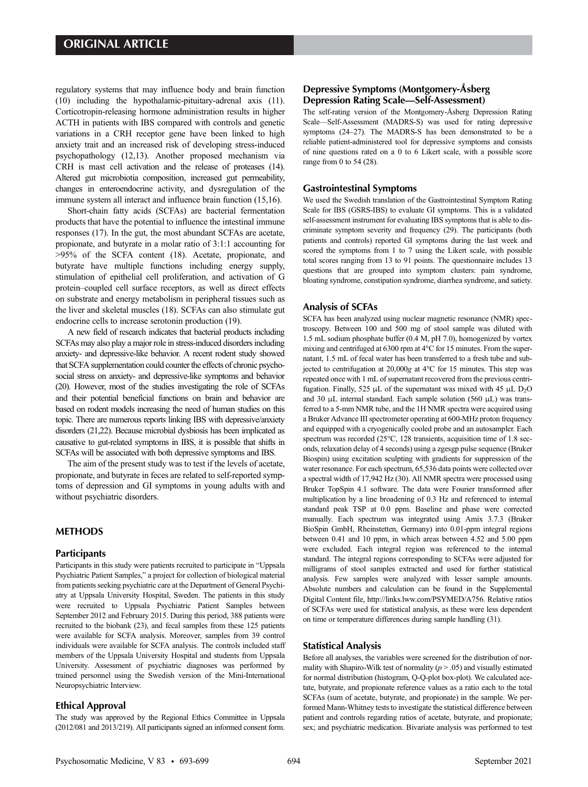regulatory systems that may influence body and brain function (10) including the hypothalamic-pituitary-adrenal axis (11). Corticotropin-releasing hormone administration results in higher ACTH in patients with IBS compared with controls and genetic variations in a CRH receptor gene have been linked to high anxiety trait and an increased risk of developing stress-induced psychopathology (12,13). Another proposed mechanism via CRH is mast cell activation and the release of proteases (14). Altered gut microbiotia composition, increased gut permeability, changes in enteroendocrine activity, and dysregulation of the immune system all interact and influence brain function (15,16).

Short-chain fatty acids (SCFAs) are bacterial fermentation products that have the potential to influence the intestinal immune responses (17). In the gut, the most abundant SCFAs are acetate, propionate, and butyrate in a molar ratio of 3:1:1 accounting for >95% of the SCFA content (18). Acetate, propionate, and butyrate have multiple functions including energy supply, stimulation of epithelial cell proliferation, and activation of G protein–coupled cell surface receptors, as well as direct effects on substrate and energy metabolism in peripheral tissues such as the liver and skeletal muscles (18). SCFAs can also stimulate gut endocrine cells to increase serotonin production (19).

A new field of research indicates that bacterial products including SCFAs may also play a major role in stress-induced disorders including anxiety- and depressive-like behavior. A recent rodent study showed that SCFA supplementation could counter the effects of chronic psychosocial stress on anxiety- and depressive-like symptoms and behavior (20). However, most of the studies investigating the role of SCFAs and their potential beneficial functions on brain and behavior are based on rodent models increasing the need of human studies on this topic. There are numerous reports linking IBS with depressive/anxiety disorders (21,22). Because microbial dysbiosis has been implicated as causative to gut-related symptoms in IBS, it is possible that shifts in SCFAs will be associated with both depressive symptoms and IBS.

The aim of the present study was to test if the levels of acetate, propionate, and butyrate in feces are related to self-reported symptoms of depression and GI symptoms in young adults with and without psychiatric disorders.

#### METHODS

#### **Participants**

Participants in this study were patients recruited to participate in "Uppsala Psychiatric Patient Samples," a project for collection of biological material from patients seeking psychiatric care at the Department of General Psychiatry at Uppsala University Hospital, Sweden. The patients in this study were recruited to Uppsala Psychiatric Patient Samples between September 2012 and February 2015. During this period, 388 patients were recruited to the biobank (23), and fecal samples from these 125 patients were available for SCFA analysis. Moreover, samples from 39 control individuals were available for SCFA analysis. The controls included staff members of the Uppsala University Hospital and students from Uppsala University. Assessment of psychiatric diagnoses was performed by trained personnel using the Swedish version of the Mini-International Neuropsychiatric Interview.

#### Ethical Approval

The study was approved by the Regional Ethics Committee in Uppsala (2012/081 and 2013/219). All participants signed an informed consent form.

# Depressive Symptoms (Montgomery-Åsberg Depression Rating Scale—Self-Assessment)

The self-rating version of the Montgomery-Åsberg Depression Rating Scale—Self-Assessment (MADRS-S) was used for rating depressive symptoms (24–27). The MADRS-S has been demonstrated to be a reliable patient-administered tool for depressive symptoms and consists of nine questions rated on a 0 to 6 Likert scale, with a possible score range from 0 to 54 (28).

#### Gastrointestinal Symptoms

We used the Swedish translation of the Gastrointestinal Symptom Rating Scale for IBS (GSRS-IBS) to evaluate GI symptoms. This is a validated self-assessment instrument for evaluating IBS symptoms that is able to discriminate symptom severity and frequency (29). The participants (both patients and controls) reported GI symptoms during the last week and scored the symptoms from 1 to 7 using the Likert scale, with possible total scores ranging from 13 to 91 points. The questionnaire includes 13 questions that are grouped into symptom clusters: pain syndrome, bloating syndrome, constipation syndrome, diarrhea syndrome, and satiety.

# Analysis of SCFAs

SCFA has been analyzed using nuclear magnetic resonance (NMR) spectroscopy. Between 100 and 500 mg of stool sample was diluted with 1.5 mL sodium phosphate buffer (0.4 M, pH 7.0), homogenized by vortex mixing and centrifuged at 6300 rpm at 4°C for 15 minutes. From the supernatant, 1.5 mL of fecal water has been transferred to a fresh tube and subjected to centrifugation at 20,000g at 4°C for 15 minutes. This step was repeated once with 1 mL of supernatant recovered from the previous centrifugation. Finally, 525 μL of the supernatant was mixed with 45 μL  $D_2O$ and 30 μL internal standard. Each sample solution (560 μL) was transferred to a 5-mm NMR tube, and the 1H NMR spectra were acquired using a Bruker Advance III spectrometer operating at 600-MHz proton frequency and equipped with a cryogenically cooled probe and an autosampler. Each spectrum was recorded (25°C, 128 transients, acquisition time of 1.8 seconds, relaxation delay of 4 seconds) using a zgesgp pulse sequence (Bruker Biospin) using excitation sculpting with gradients for suppression of the water resonance. For each spectrum, 65,536 data points were collected over a spectral width of 17,942 Hz (30). All NMR spectra were processed using Bruker TopSpin 4.1 software. The data were Fourier transformed after multiplication by a line broadening of 0.3 Hz and referenced to internal standard peak TSP at 0.0 ppm. Baseline and phase were corrected manually. Each spectrum was integrated using Amix 3.7.3 (Bruker BioSpin GmbH, Rheinstetten, Germany) into 0.01-ppm integral regions between 0.41 and 10 ppm, in which areas between 4.52 and 5.00 ppm were excluded. Each integral region was referenced to the internal standard. The integral regions corresponding to SCFAs were adjusted for milligrams of stool samples extracted and used for further statistical analysis. Few samples were analyzed with lesser sample amounts. Absolute numbers and calculation can be found in the Supplemental Digital Content file, [http://links.lww.com/PSYMED/A756.](http://links.lww.com/PSYMED/A756) Relative ratios of SCFAs were used for statistical analysis, as these were less dependent on time or temperature differences during sample handling (31).

#### Statistical Analysis

Before all analyses, the variables were screened for the distribution of normality with Shapiro-Wilk test of normality  $(p > .05)$  and visually estimated for normal distribution (histogram, Q-Q-plot box-plot). We calculated acetate, butyrate, and propionate reference values as a ratio each to the total SCFAs (sum of acetate, butyrate, and propionate) in the sample. We performed Mann-Whitney tests to investigate the statistical difference between patient and controls regarding ratios of acetate, butyrate, and propionate; sex; and psychiatric medication. Bivariate analysis was performed to test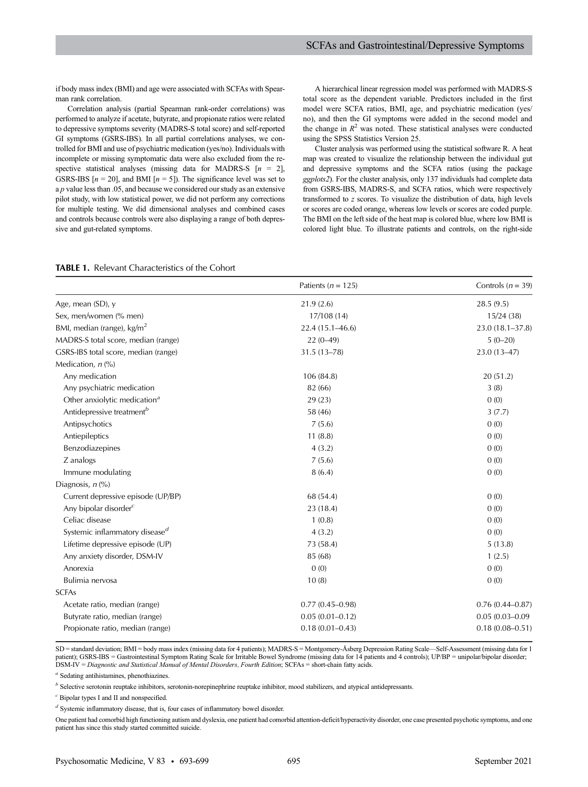if body mass index (BMI) and age were associated with SCFAs with Spearman rank correlation.

Correlation analysis (partial Spearman rank-order correlations) was performed to analyze if acetate, butyrate, and propionate ratios were related to depressive symptoms severity (MADRS-S total score) and self-reported GI symptoms (GSRS-IBS). In all partial correlations analyses, we controlled for BMI and use of psychiatric medication (yes/no). Individuals with incomplete or missing symptomatic data were also excluded from the respective statistical analyses (missing data for MADRS-S  $[n = 2]$ , GSRS-IBS  $[n = 20]$ , and BMI  $[n = 5]$ ). The significance level was set to a p value less than .05, and because we considered our study as an extensive pilot study, with low statistical power, we did not perform any corrections for multiple testing. We did dimensional analyses and combined cases and controls because controls were also displaying a range of both depressive and gut-related symptoms.

A hierarchical linear regression model was performed with MADRS-S total score as the dependent variable. Predictors included in the first model were SCFA ratios, BMI, age, and psychiatric medication (yes/ no), and then the GI symptoms were added in the second model and the change in  $R^2$  was noted. These statistical analyses were conducted using the SPSS Statistics Version 25.

Cluster analysis was performed using the statistical software R. A heat map was created to visualize the relationship between the individual gut and depressive symptoms and the SCFA ratios (using the package ggplots2). For the cluster analysis, only 137 individuals had complete data from GSRS-IBS, MADRS-S, and SCFA ratios, which were respectively transformed to z scores. To visualize the distribution of data, high levels or scores are coded orange, whereas low levels or scores are coded purple. The BMI on the left side of the heat map is colored blue, where low BMI is colored light blue. To illustrate patients and controls, on the right-side

## TABLE 1. Relevant Characteristics of the Cohort

|                                            | Patients ( $n = 125$ ) | Controls ( $n = 39$ ) |
|--------------------------------------------|------------------------|-----------------------|
| Age, mean (SD), y                          | 21.9(2.6)              | 28.5(9.5)             |
| Sex, men/women (% men)                     | 17/108(14)             | 15/24(38)             |
| BMI, median (range), $\text{kg/m}^2$       | $22.4(15.1 - 46.6)$    | $23.0(18.1 - 37.8)$   |
| MADRS-S total score, median (range)        | $22(0-49)$             | $5(0-20)$             |
| GSRS-IBS total score, median (range)       | $31.5(13 - 78)$        | $23.0(13 - 47)$       |
| Medication, $n$ (%)                        |                        |                       |
| Any medication                             | 106 (84.8)             | 20(51.2)              |
| Any psychiatric medication                 | 82 (66)                | 3(8)                  |
| Other anxiolytic medication <sup>a</sup>   | 29(23)                 | 0(0)                  |
| Antidepressive treatment <sup>b</sup>      | 58 (46)                | 3(7.7)                |
| Antipsychotics                             | 7(5.6)                 | 0(0)                  |
| Antiepileptics                             | 11(8.8)                | 0(0)                  |
| Benzodiazepines                            | 4(3.2)                 | 0(0)                  |
| Z analogs                                  | 7(5.6)                 | 0(0)                  |
| Immune modulating                          | 8(6.4)                 | 0(0)                  |
| Diagnosis, $n$ (%)                         |                        |                       |
| Current depressive episode (UP/BP)         | 68 (54.4)              | 0(0)                  |
| Any bipolar disorder $\epsilon$            | 23(18.4)               | 0(0)                  |
| Celiac disease                             | 1(0.8)                 | 0(0)                  |
| Systemic inflammatory disease <sup>d</sup> | 4(3.2)                 | 0(0)                  |
| Lifetime depressive episode (UP)           | 73 (58.4)              | 5(13.8)               |
| Any anxiety disorder, DSM-IV               | 85 (68)                | 1(2.5)                |
| Anorexia                                   | 0(0)                   | 0(0)                  |
| Bulimia nervosa                            | 10(8)                  | 0(0)                  |
| <b>SCFAs</b>                               |                        |                       |
| Acetate ratio, median (range)              | $0.77(0.45 - 0.98)$    | $0.76(0.44 - 0.87)$   |
| Butyrate ratio, median (range)             | $0.05(0.01 - 0.12)$    | $0.05(0.03 - 0.09)$   |
| Propionate ratio, median (range)           | $0.18(0.01 - 0.43)$    | $0.18(0.08 - 0.51)$   |

SD = standard deviation; BMI = body mass index (missing data for 4 patients); MADRS-S = Montgomery-Åsberg Depression Rating Scale—Self-Assessment (missing data for 1 patient); GSRS-IBS = Gastrointestinal Symptom Rating Scale for Irritable Bowel Syndrome (missing data for 14 patients and 4 controls); UP/BP = unipolar/bipolar disorder; DSM-IV = Diagnostic and Statistical Manual of Mental Disorders, Fourth Edition; SCFAs = short-chain fatty acids.

<sup>a</sup> Sedating antihistamines, phenothiazines.

 $<sup>b</sup>$  Selective serotonin reuptake inhibitors, serotonin-norepinephrine reuptake inhibitor, mood stabilizers, and atypical antidepressants.</sup>

 $c$  Bipolar types I and II and nonspecified.

 $\real^d$  Systemic inflammatory disease, that is, four cases of inflammatory bowel disorder.

One patient had comorbid high functioning autism and dyslexia, one patient had comorbid attention-deficit/hyperactivity disorder, one case presented psychotic symptoms, and one patient has since this study started committed suicide.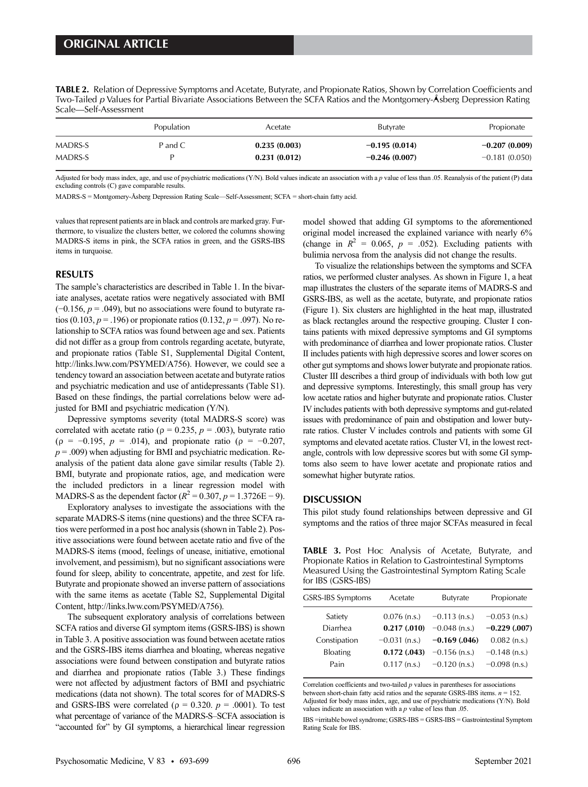TABLE 2. Relation of Depressive Symptoms and Acetate, Butyrate, and Propionate Ratios, Shown by Correlation Coefficients and Two-Tailed p Values for Partial Bivariate Associations Between the SCFA Ratios and the Montgomery-Åsberg Depression Rating Scale—Self-Assessment

|         | Population | Acetate      | <b>Butyrate</b> | Propionate      |
|---------|------------|--------------|-----------------|-----------------|
| MADRS-S | P and C    | 0.235(0.003) | $-0.195(0.014)$ | $-0.207(0.009)$ |
| MADRS-S |            | 0.231(0.012) | $-0.246(0.007)$ | $-0.181(0.050)$ |

Adjusted for body mass index, age, and use of psychiatric medications (Y/N). Bold values indicate an association with a p value of less than .05. Reanalysis of the patient (P) data excluding controls (C) gave comparable results.

MADRS-S = Montgomery-Åsberg Depression Rating Scale—Self-Assessment; SCFA = short-chain fatty acid.

values that represent patients are in black and controls are marked gray. Furthermore, to visualize the clusters better, we colored the columns showing MADRS-S items in pink, the SCFA ratios in green, and the GSRS-IBS items in turquoise.

#### RESULTS

The sample's characteristics are described in Table 1. In the bivariate analyses, acetate ratios were negatively associated with BMI  $(-0.156, p = .049)$ , but no associations were found to butyrate ratios (0.103,  $p = 0.196$ ) or propionate ratios (0.132,  $p = 0.097$ ). No relationship to SCFA ratios was found between age and sex. Patients did not differ as a group from controls regarding acetate, butyrate, and propionate ratios (Table S1, Supplemental Digital Content, [http://links.lww.com/PSYMED/A756\)](http://links.lww.com/PSYMED/A756). However, we could see a tendency toward an association between acetate and butyrate ratios and psychiatric medication and use of antidepressants (Table S1). Based on these findings, the partial correlations below were adjusted for BMI and psychiatric medication (Y/N).

Depressive symptoms severity (total MADRS-S score) was correlated with acetate ratio ( $\rho = 0.235$ ,  $p = .003$ ), butyrate ratio ( $\rho = -0.195$ ,  $p = .014$ ), and propionate ratio ( $\rho = -0.207$ ,  $p = .009$ ) when adjusting for BMI and psychiatric medication. Reanalysis of the patient data alone gave similar results (Table 2). BMI, butyrate and propionate ratios, age, and medication were the included predictors in a linear regression model with MADRS-S as the dependent factor ( $R^2 = 0.307$ ,  $p = 1.3726E - 9$ ).

Exploratory analyses to investigate the associations with the separate MADRS-S items (nine questions) and the three SCFA ratios were performed in a post hoc analysis (shown in Table 2). Positive associations were found between acetate ratio and five of the MADRS-S items (mood, feelings of unease, initiative, emotional involvement, and pessimism), but no significant associations were found for sleep, ability to concentrate, appetite, and zest for life. Butyrate and propionate showed an inverse pattern of associations with the same items as acetate (Table S2, Supplemental Digital Content, [http://links.lww.com/PSYMED/A756\)](http://links.lww.com/PSYMED/A756).

The subsequent exploratory analysis of correlations between SCFA ratios and diverse GI symptom items (GSRS-IBS) is shown in Table 3. A positive association was found between acetate ratios and the GSRS-IBS items diarrhea and bloating, whereas negative associations were found between constipation and butyrate ratios and diarrhea and propionate ratios (Table 3.) These findings were not affected by adjustment factors of BMI and psychiatric medications (data not shown). The total scores for of MADRS-S and GSRS-IBS were correlated ( $\rho = 0.320$ .  $p = .0001$ ). To test what percentage of variance of the MADRS-S–SCFA association is "accounted for" by GI symptoms, a hierarchical linear regression model showed that adding GI symptoms to the aforementioned original model increased the explained variance with nearly 6% (change in  $R^2 = 0.065$ ,  $p = .052$ ). Excluding patients with bulimia nervosa from the analysis did not change the results.

To visualize the relationships between the symptoms and SCFA ratios, we performed cluster analyses. As shown in Figure 1, a heat map illustrates the clusters of the separate items of MADRS-S and GSRS-IBS, as well as the acetate, butyrate, and propionate ratios (Figure 1). Six clusters are highlighted in the heat map, illustrated as black rectangles around the respective grouping. Cluster I contains patients with mixed depressive symptoms and GI symptoms with predominance of diarrhea and lower propionate ratios. Cluster II includes patients with high depressive scores and lower scores on other gut symptoms and shows lower butyrate and propionate ratios. Cluster III describes a third group of individuals with both low gut and depressive symptoms. Interestingly, this small group has very low acetate ratios and higher butyrate and propionate ratios. Cluster IV includes patients with both depressive symptoms and gut-related issues with predominance of pain and obstipation and lower butyrate ratios. Cluster V includes controls and patients with some GI symptoms and elevated acetate ratios. Cluster VI, in the lowest rectangle, controls with low depressive scores but with some GI symptoms also seem to have lower acetate and propionate ratios and somewhat higher butyrate ratios.

## **DISCUSSION**

This pilot study found relationships between depressive and GI symptoms and the ratios of three major SCFAs measured in fecal

TABLE 3. Post Hoc Analysis of Acetate, Butyrate, and Propionate Ratios in Relation to Gastrointestinal Symptoms Measured Using the Gastrointestinal Symptom Rating Scale for IBS (GSRS-IBS)

| GSRS-IBS Symptoms | Acetate         | <b>Butyrate</b> | Propionate      |
|-------------------|-----------------|-----------------|-----------------|
| Satiety           | $0.076$ (n.s.)  | $-0.113$ (n.s.) | $-0.053$ (n.s.) |
| Diarrhea          | 0.217(0.010)    | $-0.048$ (n.s.) | $-0.229(0.007)$ |
| Constipation      | $-0.031$ (n.s.) | $-0.169$ (.046) | $0.082$ (n.s.)  |
| <b>Bloating</b>   | 0.172(0.043)    | $-0.156$ (n.s.) | $-0.148$ (n.s.) |
| Pain              | $0.117$ (n.s.)  | $-0.120$ (n.s.) | $-0.098$ (n.s.) |
|                   |                 |                 |                 |

Correlation coefficients and two-tailed  $p$  values in parentheses for associations between short-chain fatty acid ratios and the separate GSRS-IBS items.  $n = 152$ . Adjusted for body mass index, age, and use of psychiatric medications (Y/N). Bold values indicate an association with a  $p$  value of less than .05.

IBS =irritable bowel syndrome; GSRS-IBS = GSRS-IBS = Gastrointestinal Symptom Rating Scale for IBS.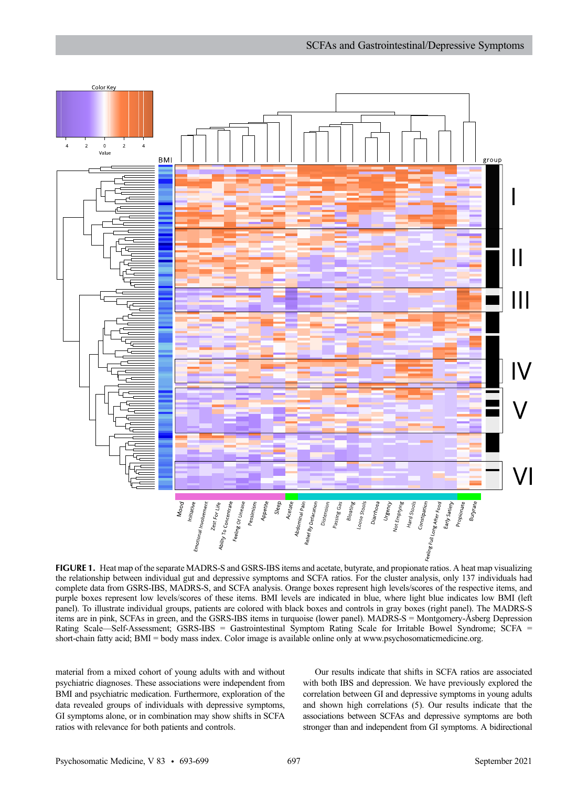

FIGURE 1. Heat map of the separate MADRS-S and GSRS-IBS items and acetate, butyrate, and propionate ratios. A heat map visualizing the relationship between individual gut and depressive symptoms and SCFA ratios. For the cluster analysis, only 137 individuals had complete data from GSRS-IBS, MADRS-S, and SCFA analysis. Orange boxes represent high levels/scores of the respective items, and purple boxes represent low levels/scores of these items. BMI levels are indicated in blue, where light blue indicates low BMI (left panel). To illustrate individual groups, patients are colored with black boxes and controls in gray boxes (right panel). The MADRS-S items are in pink, SCFAs in green, and the GSRS-IBS items in turquoise (lower panel). MADRS-S = Montgomery-Åsberg Depression Rating Scale—Self-Assessment; GSRS-IBS = Gastrointestinal Symptom Rating Scale for Irritable Bowel Syndrome; SCFA = short-chain fatty acid; BMI = body mass index. Color image is available online only at [www.psychosomaticmedicine.org.](http://www.psychosomaticmedicine.org)

material from a mixed cohort of young adults with and without psychiatric diagnoses. These associations were independent from BMI and psychiatric medication. Furthermore, exploration of the data revealed groups of individuals with depressive symptoms, GI symptoms alone, or in combination may show shifts in SCFA ratios with relevance for both patients and controls.

Our results indicate that shifts in SCFA ratios are associated with both IBS and depression. We have previously explored the correlation between GI and depressive symptoms in young adults and shown high correlations (5). Our results indicate that the associations between SCFAs and depressive symptoms are both stronger than and independent from GI symptoms. A bidirectional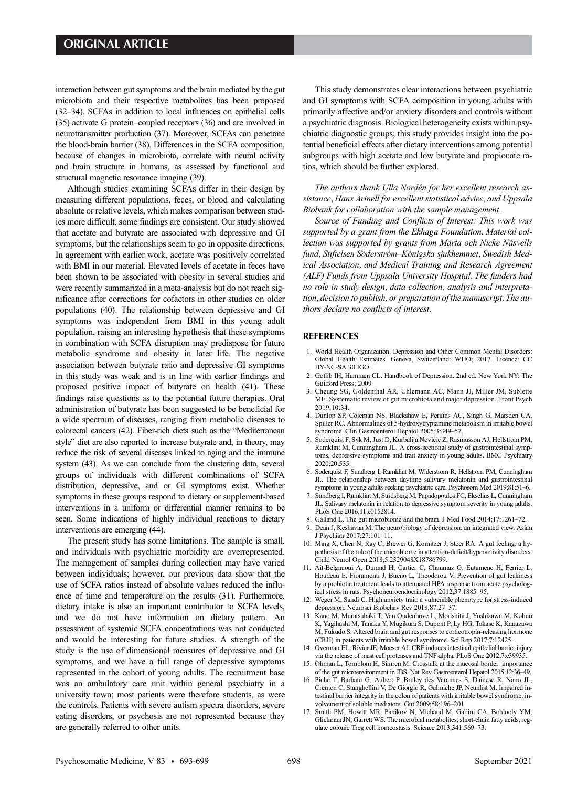interaction between gut symptoms and the brain mediated by the gut microbiota and their respective metabolites has been proposed (32–34). SCFAs in addition to local influences on epithelial cells (35) activate G protein–coupled receptors (36) and are involved in neurotransmitter production (37). Moreover, SCFAs can penetrate the blood-brain barrier (38). Differences in the SCFA composition, because of changes in microbiota, correlate with neural activity and brain structure in humans, as assessed by functional and structural magnetic resonance imaging (39).

Although studies examining SCFAs differ in their design by measuring different populations, feces, or blood and calculating absolute or relative levels, which makes comparison between studies more difficult, some findings are consistent. Our study showed that acetate and butyrate are associated with depressive and GI symptoms, but the relationships seem to go in opposite directions. In agreement with earlier work, acetate was positively correlated with BMI in our material. Elevated levels of acetate in feces have been shown to be associated with obesity in several studies and were recently summarized in a meta-analysis but do not reach significance after corrections for cofactors in other studies on older populations (40). The relationship between depressive and GI symptoms was independent from BMI in this young adult population, raising an interesting hypothesis that these symptoms in combination with SCFA disruption may predispose for future metabolic syndrome and obesity in later life. The negative association between butyrate ratio and depressive GI symptoms in this study was weak and is in line with earlier findings and proposed positive impact of butyrate on health (41). These findings raise questions as to the potential future therapies. Oral administration of butyrate has been suggested to be beneficial for a wide spectrum of diseases, ranging from metabolic diseases to colorectal cancers (42). Fiber-rich diets such as the "Mediterranean style" diet are also reported to increase butyrate and, in theory, may reduce the risk of several diseases linked to aging and the immune system (43). As we can conclude from the clustering data, several groups of individuals with different combinations of SCFA distribution, depressive, and or GI symptoms exist. Whether symptoms in these groups respond to dietary or supplement-based interventions in a uniform or differential manner remains to be seen. Some indications of highly individual reactions to dietary interventions are emerging (44).

The present study has some limitations. The sample is small, and individuals with psychiatric morbidity are overrepresented. The management of samples during collection may have varied between individuals; however, our previous data show that the use of SCFA ratios instead of absolute values reduced the influence of time and temperature on the results (31). Furthermore, dietary intake is also an important contributor to SCFA levels, and we do not have information on dietary pattern. An assessment of systemic SCFA concentrations was not conducted and would be interesting for future studies. A strength of the study is the use of dimensional measures of depressive and GI symptoms, and we have a full range of depressive symptoms represented in the cohort of young adults. The recruitment base was an ambulatory care unit within general psychiatry in a university town; most patients were therefore students, as were the controls. Patients with severe autism spectra disorders, severe eating disorders, or psychosis are not represented because they are generally referred to other units.

This study demonstrates clear interactions between psychiatric and GI symptoms with SCFA composition in young adults with primarily affective and/or anxiety disorders and controls without a psychiatric diagnosis. Biological heterogeneity exists within psychiatric diagnostic groups; this study provides insight into the potential beneficial effects after dietary interventions among potential subgroups with high acetate and low butyrate and propionate ratios, which should be further explored.

The authors thank Ulla Nordén for her excellent research assistance, Hans Arinell for excellent statistical advice, and Uppsala Biobank for collaboration with the sample management.

Source of Funding and Conflicts of Interest: This work was supported by a grant from the Ekhaga Foundation. Material collection was supported by grants from Märta och Nicke Näsvells fund, Stiftelsen Söderström–Königska sjukhemmet, Swedish Medical Association, and Medical Training and Research Agreement (ALF) Funds from Uppsala University Hospital. The funders had no role in study design, data collection, analysis and interpretation, decision to publish, or preparation of the manuscript. The authors declare no conflicts of interest.

## **REFERENCES**

- 1. World Health Organization. Depression and Other Common Mental Disorders: Global Health Estimates. Geneva, Switzerland: WHO; 2017. Licence: CC BY-NC-SA 30 IGO.
- 2. Gotlib IH, Hammen CL. Handbook of Depression. 2nd ed. New York NY: The Guilford Press; 2009.
- 3. Cheung SG, Goldenthal AR, Uhlemann AC, Mann JJ, Miller JM, Sublette ME. Systematic review of gut microbiota and major depression. Front Psych 2019;10:34.
- 4. Dunlop SP, Coleman NS, Blackshaw E, Perkins AC, Singh G, Marsden CA, Spiller RC. Abnormalities of 5-hydroxytryptamine metabolism in irritable bowel syndrome. Clin Gastroenterol Hepatol 2005;3:349–57.
- 5. Soderquist F, Syk M, Just D, Kurbalija Novicic Z, Rasmusson AJ, Hellstrom PM, Ramklint M, Cunningham JL. A cross-sectional study of gastrointestinal symptoms, depressive symptoms and trait anxiety in young adults. BMC Psychiatry 2020;20:535.
- 6. Soderquist F, Sundberg I, Ramklint M, Widerstrom R, Hellstrom PM, Cunningham JL. The relationship between daytime salivary melatonin and gastrointestinal symptoms in young adults seeking psychiatric care. Psychosom Med 2019;81:51–6.
- 7. Sundberg I, Ramklint M, Stridsberg M, Papadopoulos FC, Ekselius L, Cunningham JL. Salivary melatonin in relation to depressive symptom severity in young adults. PLoS One 2016;11:e0152814.
- 8. Galland L. The gut microbiome and the brain. J Med Food 2014;17:1261–72.
- 9. Dean J, Keshavan M. The neurobiology of depression: an integrated view. Asian J Psychiatr 2017;27:101–11.
- 10. Ming X, Chen N, Ray C, Brewer G, Kornitzer J, Steer RA. A gut feeling: a hypothesis of the role of the microbiome in attention-deficit/hyperactivity disorders. Child Neurol Open 2018;5:2329048X18786799.
- 11. Ait-Belgnaoui A, Durand H, Cartier C, Chaumaz G, Eutamene H, Ferrier L, Houdeau E, Fioramonti J, Bueno L, Theodorou V. Prevention of gut leakiness by a probiotic treatment leads to attenuated HPA response to an acute psychological stress in rats. Psychoneuroendocrinology 2012;37:1885–95.
- 12. Weger M, Sandi C. High anxiety trait: a vulnerable phenotype for stress-induced depression. Neurosci Biobehav Rev 2018;87:27–37.
- 13. Kano M, Muratsubaki T, Van Oudenhove L, Morishita J, Yoshizawa M, Kohno K, Yagihashi M, Tanaka Y, Mugikura S, Dupont P, Ly HG, Takase K, Kanazawa M, Fukudo S. Altered brain and gut responses to corticotropin-releasing hormone (CRH) in patients with irritable bowel syndrome. Sci Rep 2017;7:12425.
- 14. Overman EL, Rivier JE, Moeser AJ. CRF induces intestinal epithelial barrier injury via the release of mast cell proteases and TNF-alpha. PLoS One 2012;7:e39935.
- 15. Ohman L, Tornblom H, Simren M. Crosstalk at the mucosal border: importance of the gut microenvironment in IBS. Nat Rev Gastroenterol Hepatol 2015;12:36–49.
- 16. Piche T, Barbara G, Aubert P, Bruley des Varannes S, Dainese R, Nano JL, Cremon C, Stanghellini V, De Giorgio R, Galmiche JP, Neunlist M. Impaired intestinal barrier integrity in the colon of patients with irritable bowel syndrome: involvement of soluble mediators. Gut 2009;58:196–201.
- 17. Smith PM, Howitt MR, Panikov N, Michaud M, Gallini CA, Bohlooly YM, Glickman JN, Garrett WS. The microbial metabolites, short-chain fatty acids, regulate colonic Treg cell homeostasis. Science 2013;341:569–73.